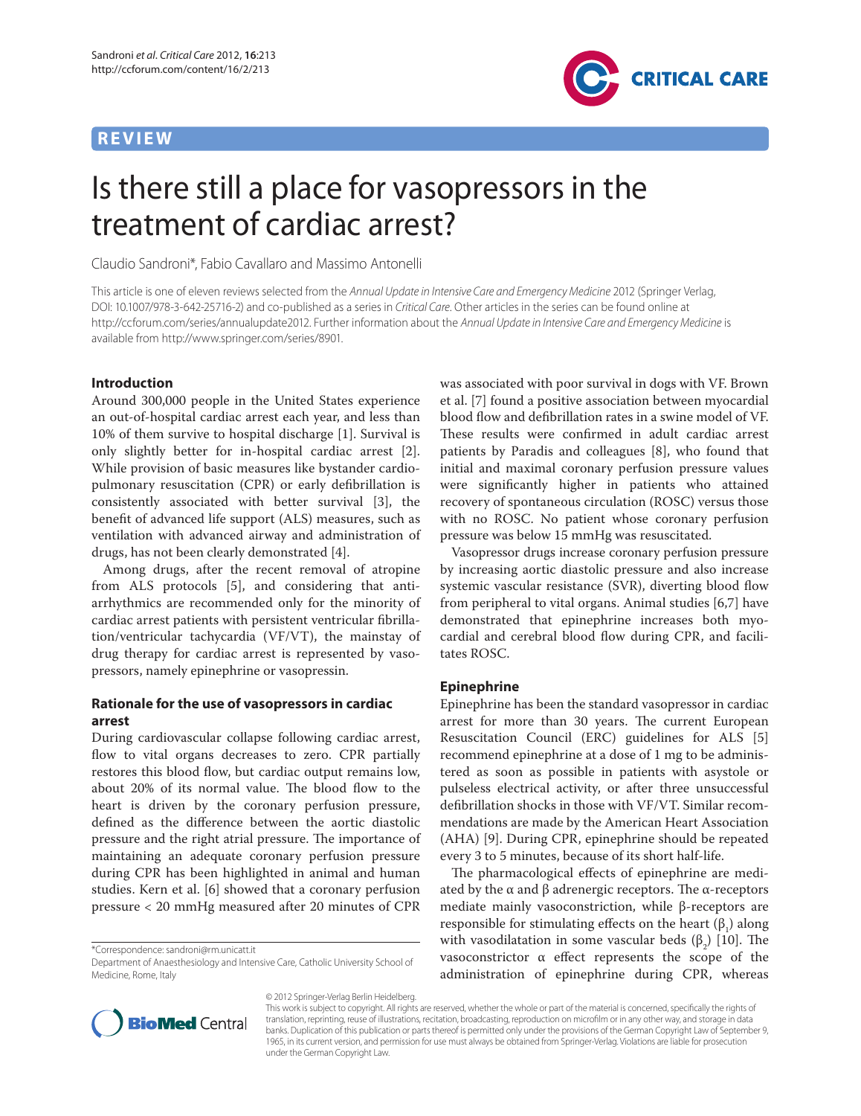## **REVIEW**



# Is there still a place for vasopressors in the treatment of cardiac arrest?

Claudio Sandroni\*, Fabio Cavallaro and Massimo Antonelli

This article is one of eleven reviews selected from the Annual Update in Intensive Care and Emergency Medicine 2012 (Springer Verlag, DOI: 10.1007/978-3-642-25716-2) and co-published as a series in Critical Care. Other articles in the series can be found online at http://ccforum.com/series/annualupdate2012. Further information about the Annual Update in Intensive Care and Emergency Medicine is available from http://www.springer.com/series/8901.

#### **Introduction**

Around 300,000 people in the United States experience an out-of-hospital cardiac arrest each year, and less than 10% of them survive to hospital discharge [1]. Survival is only slightly better for in-hospital cardiac arrest [2]. While provision of basic measures like bystander cardiopulmonary resuscitation (CPR) or early defibrillation is consistently associated with better survival [3], the benefit of advanced life support (ALS) measures, such as ventilation with advanced airway and administration of drugs, has not been clearly demonstrated [4].

Among drugs, after the recent removal of atropine from ALS protocols [5], and considering that antiarrhythmics are recommended only for the minority of cardiac arrest patients with persistent ventricular fibrillation/ventricular tachycardia (VF/VT), the mainstay of drug therapy for cardiac arrest is represented by vasopressors, namely epinephrine or vasopressin.

## **Rationale for the use of vasopressors in cardiac arrest**

During cardiovascular collapse following cardiac arrest, flow to vital organs decreases to zero. CPR partially restores this blood flow, but cardiac output remains low, about 20% of its normal value. The blood flow to the heart is driven by the coronary perfusion pressure, defined as the difference between the aortic diastolic pressure and the right atrial pressure. The importance of maintaining an adequate coronary perfusion pressure during CPR has been highlighted in animal and human studies. Kern et al. [6] showed that a coronary perfusion pressure < 20 mmHg measured after 20 minutes of CPR

© 2012 Springer-Verlag Berlin Heidelberg.

was associated with poor survival in dogs with VF. Brown et al. [7] found a positive association between myocardial blood flow and defibrillation rates in a swine model of VF. These results were confirmed in adult cardiac arrest patients by Paradis and colleagues [8], who found that initial and maximal coronary perfusion pressure values were significantly higher in patients who attained recovery of spontaneous circulation (ROSC) versus those with no ROSC. No patient whose coronary perfusion pressure was below 15 mmHg was resuscitated.

Vasopressor drugs increase coronary perfusion pressure by increasing aortic diastolic pressure and also increase systemic vascular resistance (SVR), diverting blood flow from peripheral to vital organs. Animal studies [6,7] have demonstrated that epinephrine increases both myocardial and cerebral blood flow during CPR, and facilitates ROSC.

#### **Epinephrine**

Epinephrine has been the standard vasopressor in cardiac arrest for more than 30 years. The current European Resuscitation Council (ERC) guidelines for ALS [5] recommend epinephrine at a dose of 1 mg to be administered as soon as possible in patients with asystole or pulseless electrical activity, or after three unsuccessful defibrillation shocks in those with VF/VT. Similar recommendations are made by the American Heart Association (AHA) [9]. During CPR, epinephrine should be repeated every 3 to 5 minutes, because of its short half-life.

The pharmacological effects of epinephrine are mediated by the  $\alpha$  and  $\beta$  adrenergic receptors. The  $\alpha$ -receptors mediate mainly vasoconstriction, while β-receptors are responsible for stimulating effects on the heart  $(\beta_1)$  along with vasodilatation in some vascular beds  $(\beta_2)$  [10]. The vasoconstrictor  $\alpha$  effect represents the scope of the administration of epinephrine during CPR, whereas



This work is subject to copyright. All rights are reserved, whether the whole or part of the material is concerned, specifically the rights of translation, reprinting, reuse of illustrations, recitation, broadcasting, reproduction on microfilm or in any other way, and storage in data banks. Duplication of this publication or parts thereof is permitted only under the provisions of the German Copyright Law of September 9, 1965, in its current version, and permission for use must always be obtained from Springer-Verlag. Violations are liable for prosecution under the German Copyright Law.

<sup>\*</sup>Correspondence: sandroni@rm.unicatt.it

Department of Anaesthesiology and Intensive Care, Catholic University School of Medicine, Rome, Italy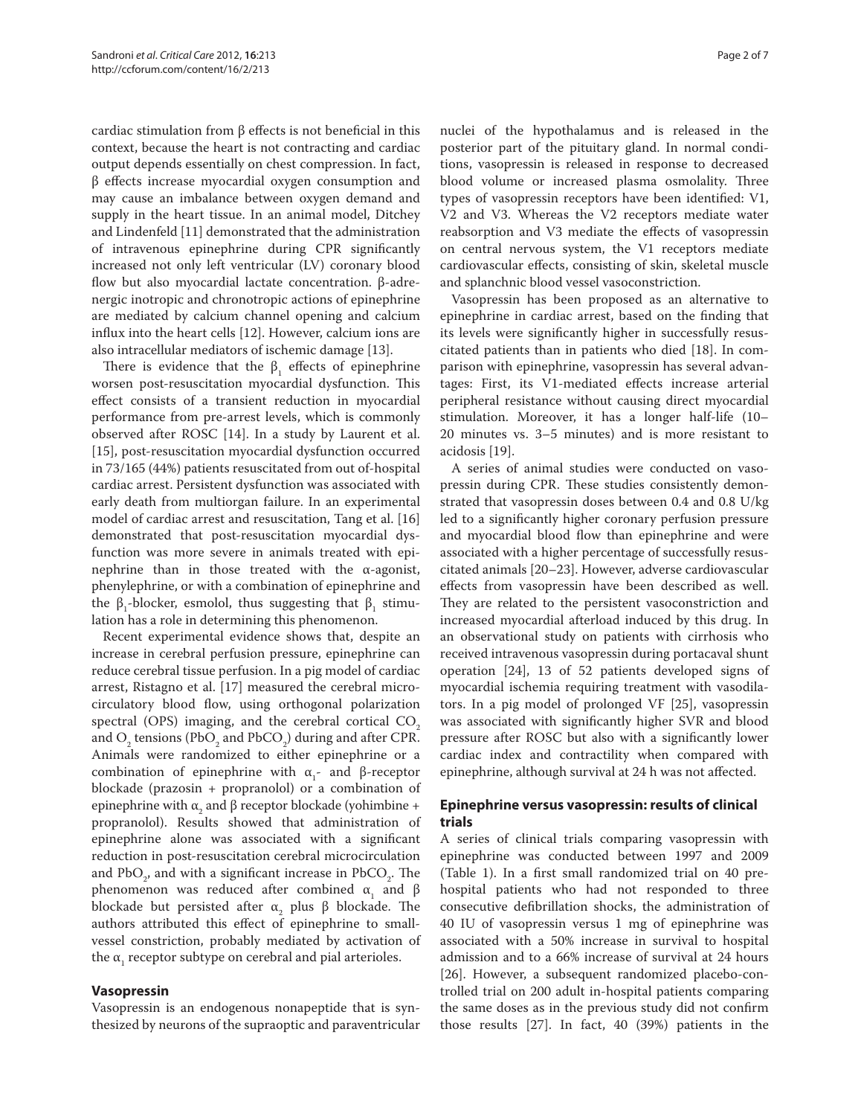cardiac stimulation from  $\beta$  effects is not beneficial in this context, because the heart is not contracting and cardiac output depends essentially on chest compression. In fact,  $β$  effects increase myocardial oxygen consumption and may cause an imbalance between oxygen demand and supply in the heart tissue. In an animal model, Ditchey and Lindenfeld [11] demonstrated that the administration of intravenous epinephrine during CPR significantly increased not only left ventricular (LV) coronary blood flow but also myocardial lactate concentration. β-adrenergic inotropic and chronotropic actions of epinephrine are mediated by calcium channel opening and calcium influx into the heart cells [12]. However, calcium ions are also intracellular mediators of ischemic damage [13].

There is evidence that the  $\beta_1$  effects of epinephrine worsen post-resuscitation myocardial dysfunction. This effect consists of a transient reduction in myocardial performance from pre-arrest levels, which is commonly observed after ROSC [14]. In a study by Laurent et al. [15], post-resuscitation myocardial dysfunction occurred in 73/165 (44%) patients resuscitated from out of-hospital cardiac arrest. Persistent dysfunction was associated with early death from multiorgan failure. In an experimental model of cardiac arrest and resuscitation, Tang et al. [16] demonstrated that post-resuscitation myocardial dysfunction was more severe in animals treated with epinephrine than in those treated with the α-agonist, phenylephrine, or with a combination of epinephrine and the β<sub>1</sub>-blocker, esmolol, thus suggesting that  $β_1$  stimulation has a role in determining this phenomenon.

Recent experimental evidence shows that, despite an increase in cerebral perfusion pressure, epinephrine can reduce cerebral tissue perfusion. In a pig model of cardiac arrest, Ristagno et al. [17] measured the cerebral microcirculatory blood flow, using orthogonal polarization spectral (OPS) imaging, and the cerebral cortical  $CO<sub>2</sub>$ and  $\text{O}_2$  tensions (Pb $\text{O}_2$  and PbC $\text{O}_2$ ) during and after CPR. Animals were randomized to either epinephrine or a combination of epinephrine with  $\alpha_1$ - and β-receptor blockade (prazosin + propranolol) or a combination of epinephrine with  $α_2$  and β receptor blockade (yohimbine + propranolol). Results showed that administration of epinephrine alone was associated with a significant reduction in post-resuscitation cerebral microcirculation and  $PbO_2$ , and with a significant increase in  $PbCO_2$ . The phenomenon was reduced after combined  $α_1$  and β blockade but persisted after  $\alpha$ <sub>2</sub> plus β blockade. The authors attributed this effect of epinephrine to smallvessel constriction, probably mediated by activation of the  $\alpha_{_1}$  receptor subtype on cerebral and pial arterioles.

## **Vasopressin**

Vasopressin is an endogenous nonapeptide that is synthesized by neurons of the supraoptic and paraventricular nuclei of the hypothalamus and is released in the posterior part of the pituitary gland. In normal conditions, vasopressin is released in response to decreased blood volume or increased plasma osmolality. Three types of vasopressin receptors have been identified: V1, V2 and V3. Whereas the V2 receptors mediate water reabsorption and V3 mediate the effects of vasopressin on central nervous system, the V1 receptors mediate cardiovascular effects, consisting of skin, skeletal muscle and splanchnic blood vessel vasoconstriction.

Vasopressin has been proposed as an alternative to epinephrine in cardiac arrest, based on the finding that its levels were significantly higher in successfully resuscitated patients than in patients who died [18]. In comparison with epinephrine, vasopressin has several advantages: First, its V1-mediated effects increase arterial peripheral resistance without causing direct myocardial stimulation. Moreover, it has a longer half-life (10– 20 minutes vs. 3–5 minutes) and is more resistant to acidosis [19].

A series of animal studies were conducted on vasopressin during CPR. These studies consistently demonstrated that vasopressin doses between 0.4 and 0.8 U/kg led to a significantly higher coronary perfusion pressure and myocardial blood flow than epinephrine and were associated with a higher percentage of successfully resuscitated animals [20–23]. However, adverse cardiovascular effects from vasopressin have been described as well. They are related to the persistent vasoconstriction and increased myocardial afterload induced by this drug. In an observational study on patients with cirrhosis who received intravenous vasopressin during portacaval shunt operation [24], 13 of 52 patients developed signs of myocardial ischemia requiring treatment with vasodilators. In a pig model of prolonged VF [25], vasopressin was associated with significantly higher SVR and blood pressure after ROSC but also with a significantly lower cardiac index and contractility when compared with epinephrine, although survival at 24 h was not affected.

## **Epinephrine versus vasopressin: results of clinical trials**

A series of clinical trials comparing vasopressin with epinephrine was conducted between 1997 and 2009 (Table 1). In a first small randomized trial on  $40$  prehospital patients who had not responded to three consecutive defibrillation shocks, the administration of 40 IU of vasopressin versus 1 mg of epinephrine was associated with a 50% increase in survival to hospital admission and to a 66% increase of survival at 24 hours [26]. However, a subsequent randomized placebo-controlled trial on 200 adult in-hospital patients comparing the same doses as in the previous study did not confirm those results [27]. In fact, 40 (39%) patients in the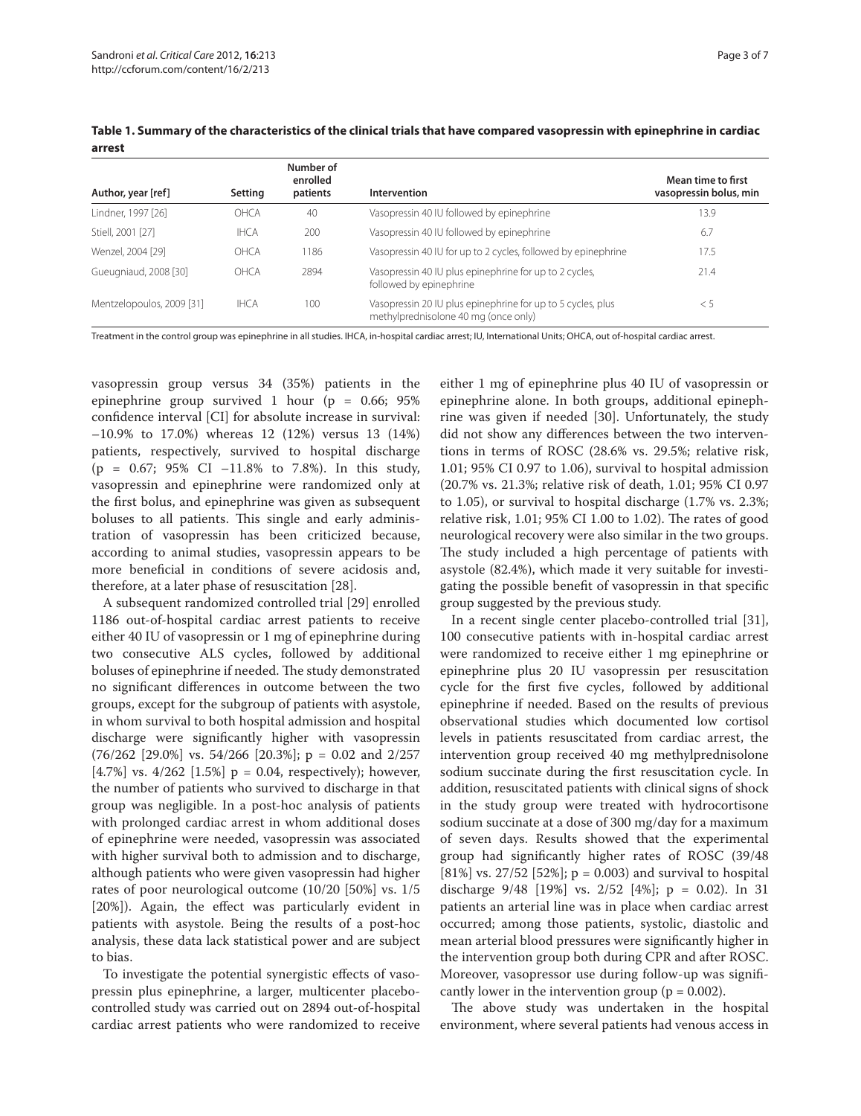| Author, year [ref]        | Setting     | Number of<br>enrolled<br>patients | Intervention                                                                                        | Mean time to first<br>vasopressin bolus, min |
|---------------------------|-------------|-----------------------------------|-----------------------------------------------------------------------------------------------------|----------------------------------------------|
| Lindner, 1997 [26]        | <b>OHCA</b> | 40                                | Vasopressin 40 IU followed by epinephrine                                                           | 13.9                                         |
| Stiell, 2001 [27]         | <b>IHCA</b> | 200                               | Vasopressin 40 IU followed by epinephrine                                                           | 6.7                                          |
| Wenzel, 2004 [29]         | OHCA        | 1186                              | Vasopressin 40 IU for up to 2 cycles, followed by epinephrine                                       | 17.5                                         |
| Gueugniaud, 2008 [30]     | OHCA        | 2894                              | Vasopressin 40 IU plus epinephrine for up to 2 cycles,<br>followed by epinephrine                   | 21.4                                         |
| Mentzelopoulos, 2009 [31] | <b>IHCA</b> | 100                               | Vasopressin 20 IU plus epinephrine for up to 5 cycles, plus<br>methylprednisolone 40 mg (once only) | $\leq 5$                                     |

**Table 1. Summary of the characteristics of the clinical trials that have compared vasopressin with epinephrine in cardiac arrest**

Treatment in the control group was epinephrine in all studies. IHCA, in-hospital cardiac arrest; IU, International Units; OHCA, out of-hospital cardiac arrest.

vasopressin group versus 34 (35%) patients in the epinephrine group survived 1 hour ( $p = 0.66$ ; 95% confidence interval [CI] for absolute increase in survival: –10.9% to 17.0%) whereas 12 (12%) versus 13 (14%) patients, respectively, survived to hospital discharge  $(p = 0.67; 95\% \text{ CI} -11.8\% \text{ to } 7.8\%).$  In this study, vasopressin and epinephrine were randomized only at the first bolus, and epinephrine was given as subsequent boluses to all patients. This single and early administration of vasopressin has been criticized because, according to animal studies, vasopressin appears to be more beneficial in conditions of severe acidosis and, therefore, at a later phase of resuscitation [28].

A subsequent randomized controlled trial [29] enrolled 1186 out-of-hospital cardiac arrest patients to receive either 40 IU of vasopressin or 1 mg of epinephrine during two consecutive ALS cycles, followed by additional boluses of epinephrine if needed. The study demonstrated no significant differences in outcome between the two groups, except for the subgroup of patients with asystole, in whom survival to both hospital admission and hospital discharge were significantly higher with vasopressin  $(76/262 \ [29.0\%] \ vs. 54/266 \ [20.3\%]$ ; p = 0.02 and 2/257 [4.7%] vs. 4/262 [1.5%]  $p = 0.04$ , respectively); however, the number of patients who survived to discharge in that group was negligible. In a post-hoc analysis of patients with prolonged cardiac arrest in whom additional doses of epinephrine were needed, vasopressin was associated with higher survival both to admission and to discharge, although patients who were given vasopressin had higher rates of poor neurological outcome (10/20 [50%] vs. 1/5 [20%]). Again, the effect was particularly evident in patients with asystole. Being the results of a post-hoc analysis, these data lack statistical power and are subject to bias.

To investigate the potential synergistic effects of vasopressin plus epinephrine, a larger, multicenter placebocontrolled study was carried out on 2894 out-of-hospital cardiac arrest patients who were randomized to receive either 1 mg of epinephrine plus 40 IU of vasopressin or epinephrine alone. In both groups, additional epinephrine was given if needed [30]. Unfortunately, the study did not show any differences between the two interventions in terms of ROSC (28.6% vs. 29.5%; relative risk, 1.01; 95% CI 0.97 to 1.06), survival to hospital admission (20.7% vs. 21.3%; relative risk of death, 1.01; 95% CI 0.97 to 1.05), or survival to hospital discharge (1.7% vs. 2.3%; relative risk,  $1.01$ ;  $95\%$  CI 1.00 to 1.02). The rates of good neurological recovery were also similar in the two groups. The study included a high percentage of patients with asystole (82.4%), which made it very suitable for investigating the possible benefit of vasopressin in that specific group suggested by the previous study.

In a recent single center placebo-controlled trial [31], 100 consecutive patients with in-hospital cardiac arrest were randomized to receive either 1 mg epinephrine or epinephrine plus 20 IU vasopressin per resuscitation cycle for the first five cycles, followed by additional epinephrine if needed. Based on the results of previous observational studies which documented low cortisol levels in patients resuscitated from cardiac arrest, the intervention group received 40 mg methylprednisolone sodium succinate during the first resuscitation cycle. In addition, resuscitated patients with clinical signs of shock in the study group were treated with hydrocortisone sodium succinate at a dose of 300 mg/day for a maximum of seven days. Results showed that the experimental group had significantly higher rates of ROSC (39/48 [81%] vs. 27/52 [52%];  $p = 0.003$ ) and survival to hospital discharge  $9/48$  [19%] vs. 2/52 [4%]; p = 0.02). In 31 patients an arterial line was in place when cardiac arrest occurred; among those patients, systolic, diastolic and mean arterial blood pressures were significantly higher in the intervention group both during CPR and after ROSC. Moreover, vasopressor use during follow-up was significantly lower in the intervention group ( $p = 0.002$ ).

The above study was undertaken in the hospital environ ment, where several patients had venous access in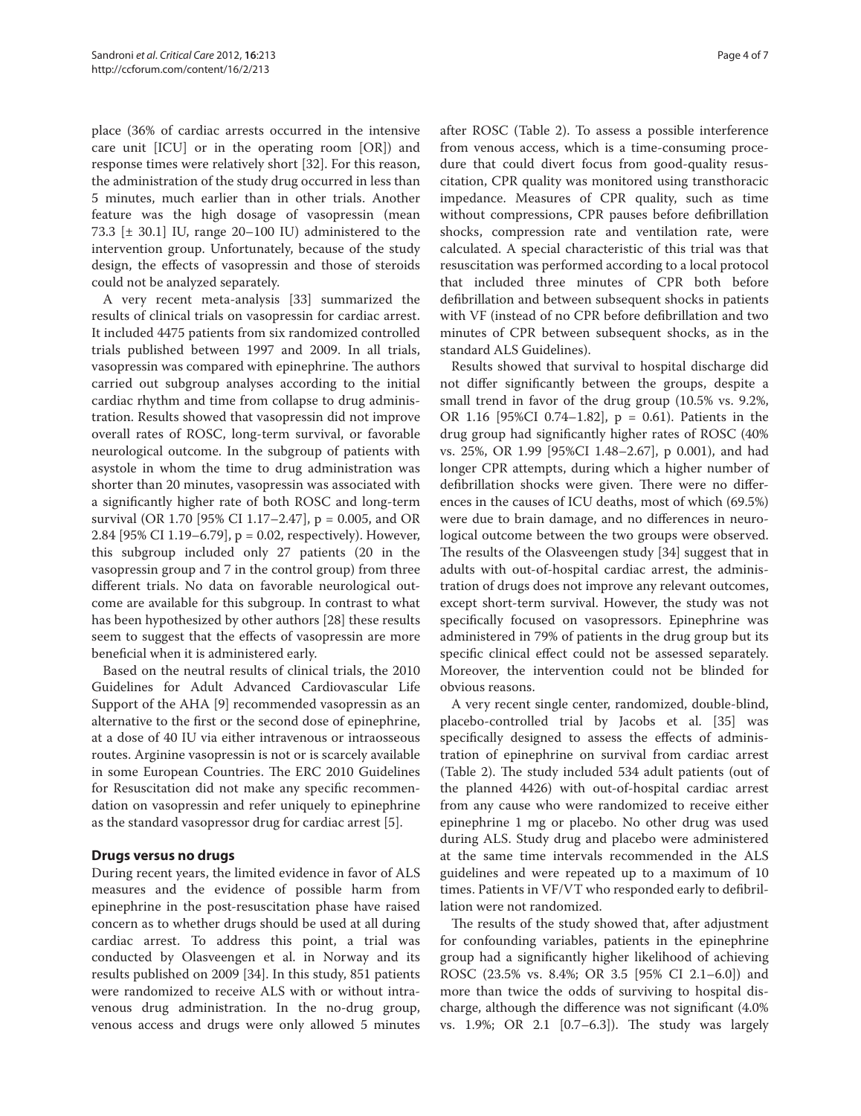place (36% of cardiac arrests occurred in the intensive care unit [ICU] or in the operating room [OR]) and response times were relatively short [32]. For this reason, the administration of the study drug occurred in less than 5 minutes, much earlier than in other trials. Another feature was the high dosage of vasopressin (mean 73.3  $[\pm 30.1]$  IU, range 20–100 IU) administered to the intervention group. Unfortunately, because of the study design, the effects of vasopressin and those of steroids could not be analyzed separately.

A very recent meta-analysis [33] summarized the results of clinical trials on vasopressin for cardiac arrest. It included 4475 patients from six randomized controlled trials published between 1997 and 2009. In all trials, vasopressin was compared with epinephrine. The authors carried out subgroup analyses according to the initial cardiac rhythm and time from collapse to drug administration. Results showed that vasopressin did not improve overall rates of ROSC, long-term survival, or favorable neurological outcome. In the subgroup of patients with asystole in whom the time to drug administration was shorter than 20 minutes, vasopressin was associated with a significantly higher rate of both ROSC and long-term survival (OR 1.70 [95% CI 1.17–2.47], p = 0.005, and OR 2.84 [95% CI 1.19–6.79], p = 0.02, respectively). However, this subgroup included only 27 patients (20 in the vasopressin group and 7 in the control group) from three different trials. No data on favorable neurological outcome are available for this subgroup. In contrast to what has been hypothesized by other authors [28] these results seem to suggest that the effects of vasopressin are more beneficial when it is administered early.

Based on the neutral results of clinical trials, the 2010 Guidelines for Adult Advanced Cardiovascular Life Support of the AHA [9] recommended vasopressin as an alternative to the first or the second dose of epinephrine, at a dose of 40 IU via either intravenous or intraosseous routes. Arginine vasopressin is not or is scarcely available in some European Countries. The ERC 2010 Guidelines for Resuscitation did not make any specific recommendation on vasopressin and refer uniquely to epinephrine as the standard vasopressor drug for cardiac arrest [5].

## **Drugs versus no drugs**

During recent years, the limited evidence in favor of ALS measures and the evidence of possible harm from epinephrine in the post-resuscitation phase have raised concern as to whether drugs should be used at all during cardiac arrest. To address this point, a trial was conducted by Olasveengen et al. in Norway and its results published on 2009 [34]. In this study, 851 patients were randomized to receive ALS with or without intravenous drug administration. In the no-drug group, venous access and drugs were only allowed 5 minutes after ROSC (Table 2). To assess a possible interference from venous access, which is a time-consuming procedure that could divert focus from good-quality resuscitation, CPR quality was monitored using transthoracic impedance. Measures of CPR quality, such as time without compressions, CPR pauses before defibrillation shocks, compression rate and ventilation rate, were calculated. A special characteristic of this trial was that resuscitation was performed according to a local protocol that included three minutes of CPR both before defibrillation and between subsequent shocks in patients with VF (instead of no CPR before defibrillation and two minutes of CPR between subsequent shocks, as in the standard ALS Guidelines).

Results showed that survival to hospital discharge did not differ significantly between the groups, despite a small trend in favor of the drug group (10.5% vs. 9.2%, OR 1.16 [95%CI 0.74–1.82], p = 0.61). Patients in the drug group had significantly higher rates of ROSC (40%) vs. 25%, OR 1.99 [95%CI 1.48–2.67], p 0.001), and had longer CPR attempts, during which a higher number of defibrillation shocks were given. There were no differences in the causes of ICU deaths, most of which (69.5%) were due to brain damage, and no differences in neurological outcome between the two groups were observed. The results of the Olasveengen study [34] suggest that in adults with out-of-hospital cardiac arrest, the administration of drugs does not improve any relevant outcomes, except short-term survival. However, the study was not specifically focused on vasopressors. Epinephrine was administered in 79% of patients in the drug group but its specific clinical effect could not be assessed separately. Moreover, the intervention could not be blinded for obvious reasons.

A very recent single center, randomized, double-blind, placebo-controlled trial by Jacobs et al. [35] was specifically designed to assess the effects of administration of epinephrine on survival from cardiac arrest (Table 2). The study included 534 adult patients (out of the planned 4426) with out-of-hospital cardiac arrest from any cause who were randomized to receive either epinephrine 1 mg or placebo. No other drug was used during ALS. Study drug and placebo were administered at the same time intervals recommended in the ALS guidelines and were repeated up to a maximum of 10 times. Patients in VF/VT who responded early to defibrillation were not randomized.

The results of the study showed that, after adjustment for confounding variables, patients in the epinephrine group had a significantly higher likelihood of achieving ROSC (23.5% vs. 8.4%; OR 3.5 [95% CI 2.1–6.0]) and more than twice the odds of surviving to hospital discharge, although the difference was not significant (4.0%) vs.  $1.9\%$ ; OR  $2.1$  [0.7–6.3]). The study was largely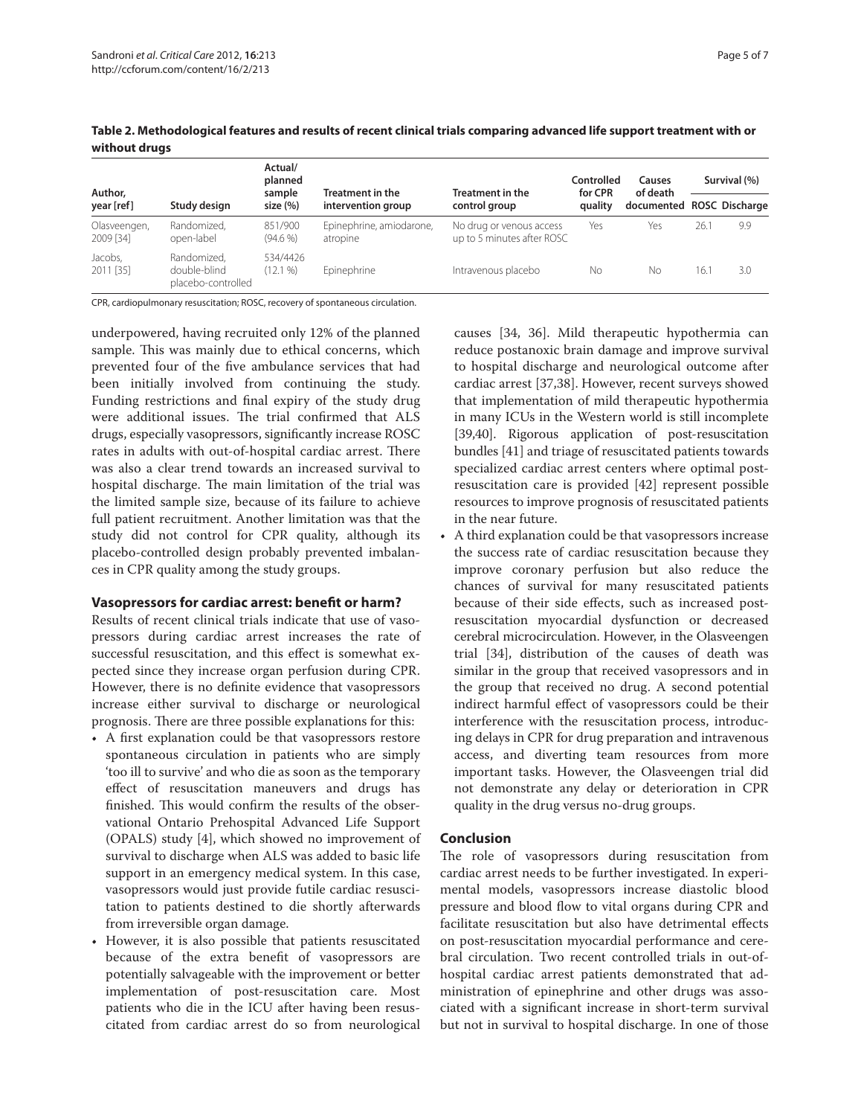| Author,                   |                                                   | Actual/<br>planned<br>sample<br>size (%) | <b>Treatment in the</b><br>intervention group | <b>Treatment in the</b><br>control group               | Controlled<br>for CPR<br>quality | Causes<br>of death<br>documented ROSC Discharge | Survival (%) |     |
|---------------------------|---------------------------------------------------|------------------------------------------|-----------------------------------------------|--------------------------------------------------------|----------------------------------|-------------------------------------------------|--------------|-----|
| year [ref]                | Study design                                      |                                          |                                               |                                                        |                                  |                                                 |              |     |
| Olasveengen,<br>2009 [34] | Randomized.<br>open-label                         | 851/900<br>$(94.6\%)$                    | Epinephrine, amiodarone,<br>atropine          | No drug or venous access<br>up to 5 minutes after ROSC | Yes                              | Yes                                             | 26.1         | 9.9 |
| Jacobs,<br>2011 [35]      | Randomized.<br>double-blind<br>placebo-controlled | 534/4426<br>$(12.1\%)$                   | Epinephrine                                   | Intravenous placebo                                    | No                               | No                                              | 16.1         | 3.0 |

**Table 2. Methodological features and results of recent clinical trials comparing advanced life support treatment with or without drugs**

CPR, cardiopulmonary resuscitation; ROSC, recovery of spontaneous circulation.

underpowered, having recruited only 12% of the planned sample. This was mainly due to ethical concerns, which prevented four of the five ambulance services that had been initially involved from continuing the study. Funding restrictions and final expiry of the study drug were additional issues. The trial confirmed that ALS drugs, especially vasopressors, significantly increase ROSC rates in adults with out-of-hospital cardiac arrest. There was also a clear trend towards an increased survival to hospital discharge. The main limitation of the trial was the limited sample size, because of its failure to achieve full patient recruitment. Another limitation was that the study did not control for CPR quality, although its placebo-controlled design probably prevented imbalances in CPR quality among the study groups.

#### **Vasopressors for cardiac arrest: benefit or harm?**

Results of recent clinical trials indicate that use of vasopressors during cardiac arrest increases the rate of successful resuscitation, and this effect is somewhat expected since they increase organ perfusion during CPR. However, there is no definite evidence that vasopressors increase either survival to discharge or neurological prognosis. There are three possible explanations for this:

- A first explanation could be that vasopressors restore spontaneous circulation in patients who are simply 'too ill to survive' and who die as soon as the temporary effect of resuscitation maneuvers and drugs has finished. This would confirm the results of the observational Ontario Prehospital Advanced Life Support (OPALS) study [4], which showed no improvement of survival to discharge when ALS was added to basic life support in an emergency medical system. In this case, vasopressors would just provide futile cardiac resuscitation to patients destined to die shortly afterwards from irreversible organ damage.
- However, it is also possible that patients resuscitated because of the extra benefit of vasopressors are potentially salvageable with the improvement or better implementation of post-resuscitation care. Most patients who die in the ICU after having been resuscitated from cardiac arrest do so from neurological

causes [34, 36]. Mild therapeutic hypothermia can reduce postanoxic brain damage and improve survival to hospital discharge and neurological outcome after cardiac arrest [37,38]. However, recent surveys showed that implementation of mild therapeutic hypothermia in many ICUs in the Western world is still incomplete [39,40]. Rigorous application of post-resuscitation bundles [41] and triage of resuscitated patients towards specialized cardiac arrest centers where optimal postresuscitation care is provided [42] represent possible resources to improve prognosis of resuscitated patients in the near future.

• A third explanation could be that vasopressors increase the success rate of cardiac resuscitation because they improve coronary perfusion but also reduce the chances of survival for many resuscitated patients because of their side effects, such as increased postresuscitation myocardial dysfunction or decreased cerebral microcirculation. However, in the Olasveengen trial [34], distribution of the causes of death was similar in the group that received vasopressors and in the group that received no drug. A second potential indirect harmful effect of vasopressors could be their interference with the resuscitation process, introducing delays in CPR for drug preparation and intravenous access, and diverting team resources from more important tasks. However, the Olasveengen trial did not demonstrate any delay or deterioration in CPR quality in the drug versus no-drug groups.

## **Conclusion**

The role of vasopressors during resuscitation from cardiac arrest needs to be further investigated. In experimental models, vasopressors increase diastolic blood pressure and blood flow to vital organs during CPR and facilitate resuscitation but also have detrimental effects on post-resuscitation myocardial performance and cerebral circulation. Two recent controlled trials in out-ofhospital cardiac arrest patients demonstrated that administration of epinephrine and other drugs was associated with a significant increase in short-term survival but not in survival to hospital discharge. In one of those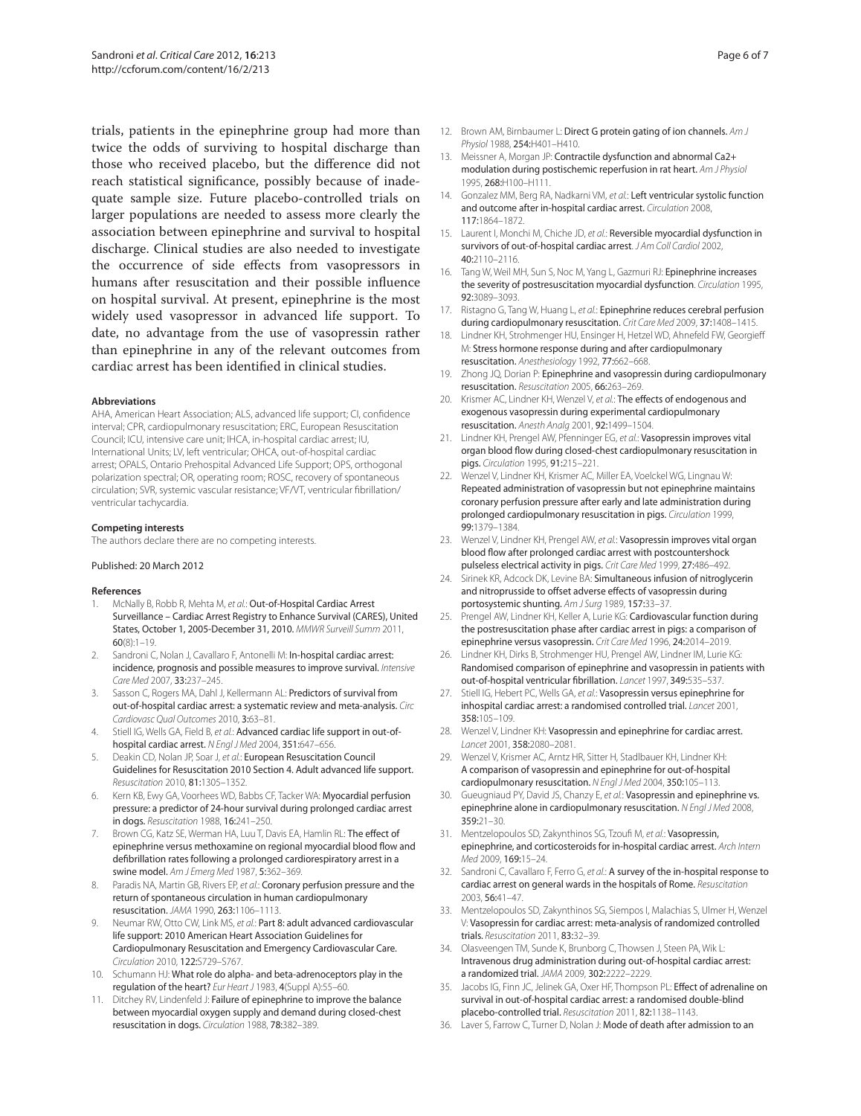trials, patients in the epinephrine group had more than twice the odds of surviving to hospital discharge than those who received placebo, but the difference did not reach statistical significance, possibly because of inadequate sample size. Future placebo-controlled trials on larger populations are needed to assess more clearly the association between epinephrine and survival to hospital discharge. Clinical studies are also needed to investigate the occurrence of side effects from vasopressors in humans after resuscitation and their possible influence on hospital survival. At present, epinephrine is the most widely used vasopressor in advanced life support. To date, no advantage from the use of vasopressin rather than epinephrine in any of the relevant outcomes from cardiac arrest has been identified in clinical studies.

#### **Abbreviations**

AHA, American Heart Association; ALS, advanced life support; CI, confidence interval; CPR, cardiopulmonary resuscitation; ERC, European Resuscitation Council; ICU, intensive care unit; IHCA, in-hospital cardiac arrest; IU, International Units; LV, left ventricular; OHCA, out-of-hospital cardiac arrest; OPALS, Ontario Prehospital Advanced Life Support; OPS, orthogonal polarization spectral; OR, operating room; ROSC, recovery of spontaneous circulation; SVR, systemic vascular resistance; VF/VT, ventricular fibrillation/ ventricular tachycardia.

#### **Competing interests**

The authors declare there are no competing interests.

#### Published: 20 March 2012

#### **References**

- 1. McNally B, Robb R, Mehta M, et al.: Out-of-Hospital Cardiac Arrest Surveillance – Cardiac Arrest Registry to Enhance Survival (CARES), United States, October 1, 2005-December 31, 2010. MMWR Surveill Summ 2011,  $60(8):1-19.$
- 2. Sandroni C, Nolan J, Cavallaro F, Antonelli M: In-hospital cardiac arrest: incidence, prognosis and possible measures to improve survival. Intensive Care Med 2007, 33:237–245.
- 3. Sasson C, Rogers MA, Dahl J, Kellermann AL: Predictors of survival from out-of-hospital cardiac arrest: a systematic review and meta-analysis. Circ Cardiovasc Qual Outcomes 2010, 3:63–81.
- 4. Stiell IG, Wells GA, Field B, et al.: Advanced cardiac life support in out-ofhospital cardiac arrest. N Engl J Med 2004, 351:647–656.
- 5. Deakin CD, Nolan JP, Soar J, et al.: European Resuscitation Council Guidelines for Resuscitation 2010 Section 4. Adult advanced life support. Resuscitation 2010, 81:1305–1352.
- Kern KB, Ewy GA, Voorhees WD, Babbs CF, Tacker WA: Myocardial perfusion pressure: a predictor of 24-hour survival during prolonged cardiac arrest in dogs. Resuscitation 1988, 16:241–250.
- 7. Brown CG, Katz SE, Werman HA, Luu T, Davis EA, Hamlin RL: The effect of epinephrine versus methoxamine on regional myocardial blood flow and defibrillation rates following a prolonged cardiorespiratory arrest in a swine model. Am J Emerg Med 1987, 5:362-369.
- Paradis NA, Martin GB, Rivers EP, et al.: Coronary perfusion pressure and the return of spontaneous circulation in human cardiopulmonary resuscitation. JAMA 1990, 263:1106–1113.
- 9. Neumar RW, Otto CW, Link MS, et al.: Part 8: adult advanced cardiovascular life support: 2010 American Heart Association Guidelines for Cardiopulmonary Resuscitation and Emergency Cardiovascular Care. Circulation 2010, 122:S729–S767.
- 10. Schumann HJ: What role do alpha- and beta-adrenoceptors play in the regulation of the heart? Eur Heart J 1983, 4(Suppl A):55–60.
- 11. Ditchey RV, Lindenfeld J: Failure of epinephrine to improve the balance between myocardial oxygen supply and demand during closed-chest resuscitation in dogs. Circulation 1988, 78:382–389.
- 12. Brown AM, Birnbaumer L: Direct G protein gating of ion channels. Am J Physiol 1988, 254:H401–H410.
- 13. Meissner A, Morgan JP: Contractile dysfunction and abnormal Ca2+ modulation during postischemic reperfusion in rat heart. Am J Physiol 1995, 268:H100–H111.
- 14. Gonzalez MM, Berg RA, Nadkarni VM, et al.: Left ventricular systolic function and outcome after in-hospital cardiac arrest. Circulation 2008, 117:1864–1872.
- 15. Laurent I, Monchi M, Chiche JD, et al.: Reversible myocardial dysfunction in survivors of out-of-hospital cardiac arrest. JAm Coll Cardiol 2002, 40:2110–2116.
- 16. Tang W, Weil MH, Sun S, Noc M, Yang L, Gazmuri RJ: Epinephrine increases the severity of postresuscitation myocardial dysfunction. Circulation 1995, 92:3089–3093.
- 17. Ristagno G, Tang W, Huang L, et al.: Epinephrine reduces cerebral perfusion during cardiopulmonary resuscitation. Crit Care Med 2009, 37:1408-1415.
- 18. Lindner KH, Strohmenger HU, Ensinger H, Hetzel WD, Ahnefeld FW, Georgieff M: Stress hormone response during and after cardiopulmonary resuscitation. Anesthesiology 1992, 77:662–668.
- 19. Zhong JQ, Dorian P: Epinephrine and vasopressin during cardiopulmonary resuscitation. Resuscitation 2005, 66:263–269.
- 20. Krismer AC, Lindner KH, Wenzel V, et al.: The effects of endogenous and exogenous vasopressin during experimental cardiopulmonary resuscitation. Anesth Analg 2001, 92:1499–1504.
- 21. Lindner KH, Prengel AW, Pfenninger EG, et al.: Vasopressin improves vital organ blood flow during closed-chest cardiopulmonary resuscitation in pigs. Circulation 1995, 91:215–221.
- 22. Wenzel V, Lindner KH, Krismer AC, Miller EA, Voelckel WG, Lingnau W: Repeated administration of vasopressin but not epinephrine maintains coronary perfusion pressure after early and late administration during prolonged cardiopulmonary resuscitation in pigs. Circulation 1999, 99:1379–1384.
- 23. Wenzel V, Lindner KH, Prengel AW, et al.: Vasopressin improves vital organ blood flow after prolonged cardiac arrest with postcountershock pulseless electrical activity in pigs. Crit Care Med 1999, 27:486–492.
- 24. Sirinek KR, Adcock DK, Levine BA: Simultaneous infusion of nitroglycerin and nitroprusside to offset adverse effects of vasopressin during portosystemic shunting. Am J Surg 1989, 157:33–37.
- 25. Prengel AW, Lindner KH, Keller A, Lurie KG: Cardiovascular function during the postresuscitation phase after cardiac arrest in pigs: a comparison of epinephrine versus vasopressin. Crit Care Med 1996, 24:2014–2019.
- 26. Lindner KH, Dirks B, Strohmenger HU, Prengel AW, Lindner IM, Lurie KG: Randomised comparison of epinephrine and vasopressin in patients with out-of-hospital ventricular fibrillation. Lancet 1997, 349:535-537.
- 27. Stiell IG. Hebert PC, Wells GA, et al.: Vasopressin versus epinephrine for inhospital cardiac arrest: a randomised controlled trial. Lancet 2001, 358:105–109.
- 28. Wenzel V, Lindner KH: Vasopressin and epinephrine for cardiac arrest. Lancet 2001, 358:2080–2081.
- 29. Wenzel V, Krismer AC, Arntz HR, Sitter H, Stadlbauer KH, Lindner KH: A comparison of vasopressin and epinephrine for out-of-hospital cardiopulmonary resuscitation. N Engl J Med 2004, 350:105–113.
- 30. Gueugniaud PY, David JS, Chanzy E, et al.: Vasopressin and epinephrine vs. epinephrine alone in cardiopulmonary resuscitation. N Engl J Med 2008, 359:21–30.
- 31. Mentzelopoulos SD, Zakynthinos SG, Tzoufi M, et al.: Vasopressin, epinephrine, and corticosteroids for in-hospital cardiac arrest. Arch Intern Med 2009, 169:15–24.
- 32. Sandroni C, Cavallaro F, Ferro G, et al.: A survey of the in-hospital response to cardiac arrest on general wards in the hospitals of Rome. Resuscitation 2003, 56:41–47.
- 33. Mentzelopoulos SD, Zakynthinos SG, Siempos I, Malachias S, Ulmer H, Wenzel V: Vasopressin for cardiac arrest: meta-analysis of randomized controlled trials. Resuscitation 2011, 83:32–39.
- 34. Olasveengen TM, Sunde K, Brunborg C, Thowsen J, Steen PA, Wik L: Intravenous drug administration during out-of-hospital cardiac arrest: a randomized trial. JAMA 2009, 302:2222–2229.
- 35. Jacobs IG, Finn JC, Jelinek GA, Oxer HF, Thompson PL: Effect of adrenaline on survival in out-of-hospital cardiac arrest: a randomised double-blind placebo-controlled trial. Resuscitation 2011, 82:1138–1143.
- 36. Laver S, Farrow C, Turner D, Nolan J: Mode of death after admission to an